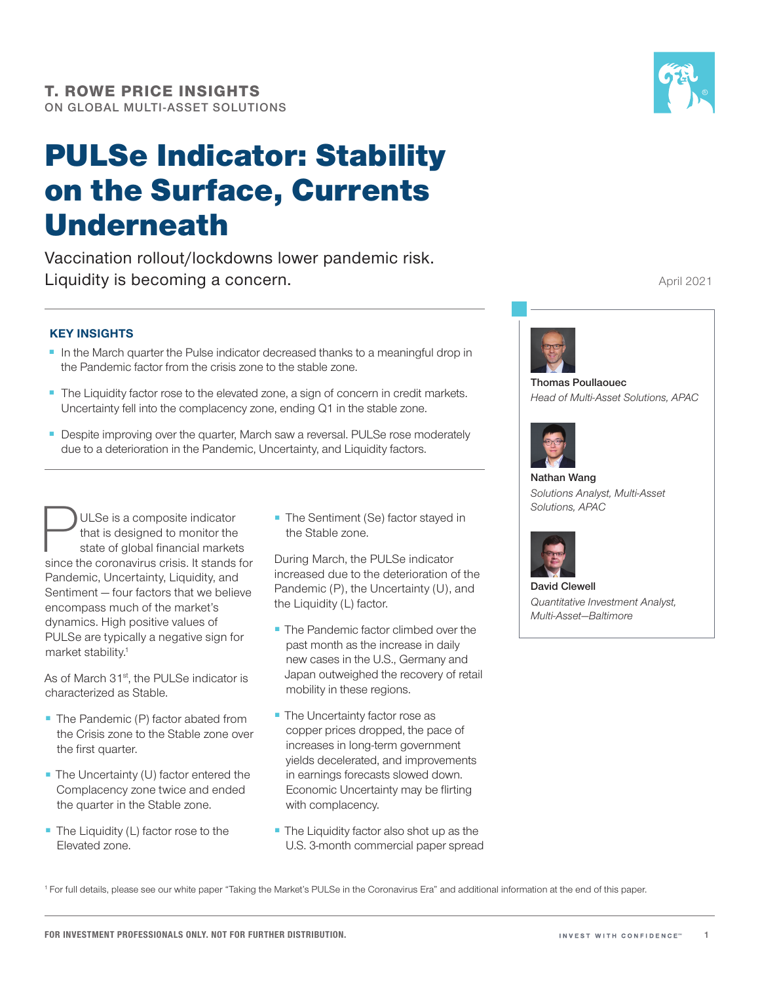# PULSe Indicator: Stability on the Surface, Currents Underneath

Vaccination rollout/lockdowns lower pandemic risk. Liquidity is becoming a concern.



April 2021

#### KEY INSIGHTS

- In the March quarter the Pulse indicator decreased thanks to a meaningful drop in the Pandemic factor from the crisis zone to the stable zone.
- The Liquidity factor rose to the elevated zone, a sign of concern in credit markets. Uncertainty fell into the complacency zone, ending Q1 in the stable zone.
- Despite improving over the quarter, March saw a reversal. PULSe rose moderately due to a deterioration in the Pandemic, Uncertainty, and Liquidity factors.

**PULSe is a composite indicator**<br>that is designed to monitor the<br>state of global financial markets<br>since the coronavirus crisis. It stands for that is designed to monitor the state of global financial markets Pandemic, Uncertainty, Liquidity, and Sentiment — four factors that we believe encompass much of the market's dynamics. High positive values of PULSe are typically a negative sign for market stability.<sup>1</sup>

As of March 31<sup>st</sup>, the PULSe indicator is characterized as Stable.

- The Pandemic (P) factor abated from the Crisis zone to the Stable zone over the first quarter.
- The Uncertainty (U) factor entered the Complacency zone twice and ended the quarter in the Stable zone.
- The Liquidity (L) factor rose to the Elevated zone.

■ The Sentiment (Se) factor stayed in the Stable zone.

During March, the PULSe indicator increased due to the deterioration of the Pandemic (P), the Uncertainty (U), and the Liquidity (L) factor.

- The Pandemic factor climbed over the past month as the increase in daily new cases in the U.S., Germany and Japan outweighed the recovery of retail mobility in these regions.
- The Uncertainty factor rose as copper prices dropped, the pace of increases in long-term government yields decelerated, and improvements in earnings forecasts slowed down. Economic Uncertainty may be flirting with complacency.
- The Liquidity factor also shot up as the U.S. 3-month commercial paper spread



Thomas Poullaouec *Head of Multi‑Asset Solutions, APAC*



Nathan Wang *Solutions Analyst, Multi‑Asset Solutions, APAC*



David Clewell *Quantitative Investment Analyst, Multi‑Asset—Baltimore*

<sup>1</sup> For full details, please see our white paper "Taking the Market's PULSe in the Coronavirus Era" and additional information at the end of this paper.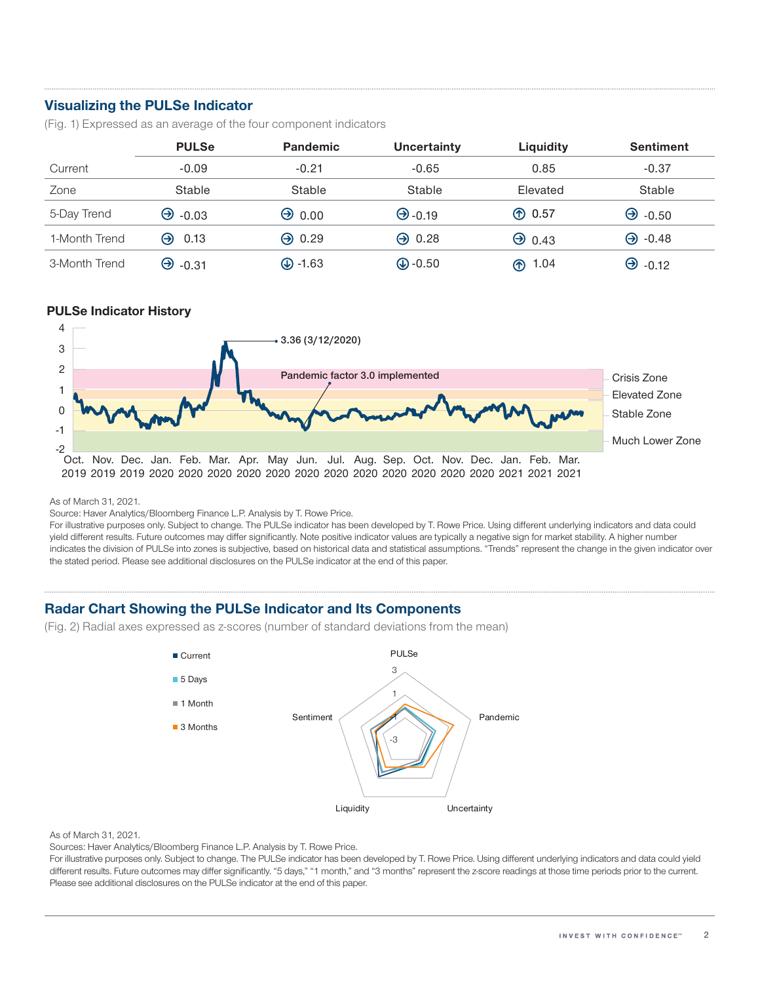## Visualizing the PULSe Indicator

(Fig. 1) Expressed as an average of the four component indicators

|               | <b>PULSe</b>   | <b>Pandemic</b>     | Uncertainty      | Liquidity     | <b>Sentiment</b> |
|---------------|----------------|---------------------|------------------|---------------|------------------|
| Current       | $-0.09$        | $-0.21$             | $-0.65$          | 0.85          | $-0.37$          |
| Zone          | Stable         | Stable              | Stable           | Elevated      | Stable           |
| 5-Day Trend   | $\Theta$ -0.03 | $\Theta$ 0.00       | $\Theta$ -0.19   | <b>① 0.57</b> | $\Theta$ -0.50   |
| 1-Month Trend | $\Theta$ 0.13  | $\Theta$ 0.29       | $\Theta$ 0.28    | $\Theta$ 0.43 | $\Theta$ -0.48   |
| 3-Month Trend | $\Theta$ -0.31 | $\circled{L}$ -1.63 | $\bigcirc$ -0.50 | 1.04<br>֍     | $\Theta$ -0.12   |

#### PULSe Indicator History



As of March 31, 2021.

Source: Haver Analytics/Bloomberg Finance L.P. Analysis by T. Rowe Price.

For illustrative purposes only. Subject to change. The PULSe indicator has been developed by T. Rowe Price. Using different underlying indicators and data could yield different results. Future outcomes may differ significantly. Note positive indicator values are typically a negative sign for market stability. A higher number indicates the division of PULSe into zones is subjective, based on historical data and statistical assumptions. "Trends" represent the change in the given indicator over the stated period. Please see additional disclosures on the PULSe indicator at the end of this paper.

### Radar Chart Showing the PULSe Indicator and Its Components

(Fig. 2) Radial axes expressed as z-scores (number of standard deviations from the mean)



#### As of March 31, 2021.

Sources: Haver Analytics/Bloomberg Finance L.P. Analysis by T. Rowe Price.

For illustrative purposes only. Subject to change. The PULSe indicator has been developed by T. Rowe Price. Using different underlying indicators and data could yield different results. Future outcomes may differ significantly. "5 days," "1 month," and "3 months" represent the z-score readings at those time periods prior to the current. Please see additional disclosures on the PULSe indicator at the end of this paper.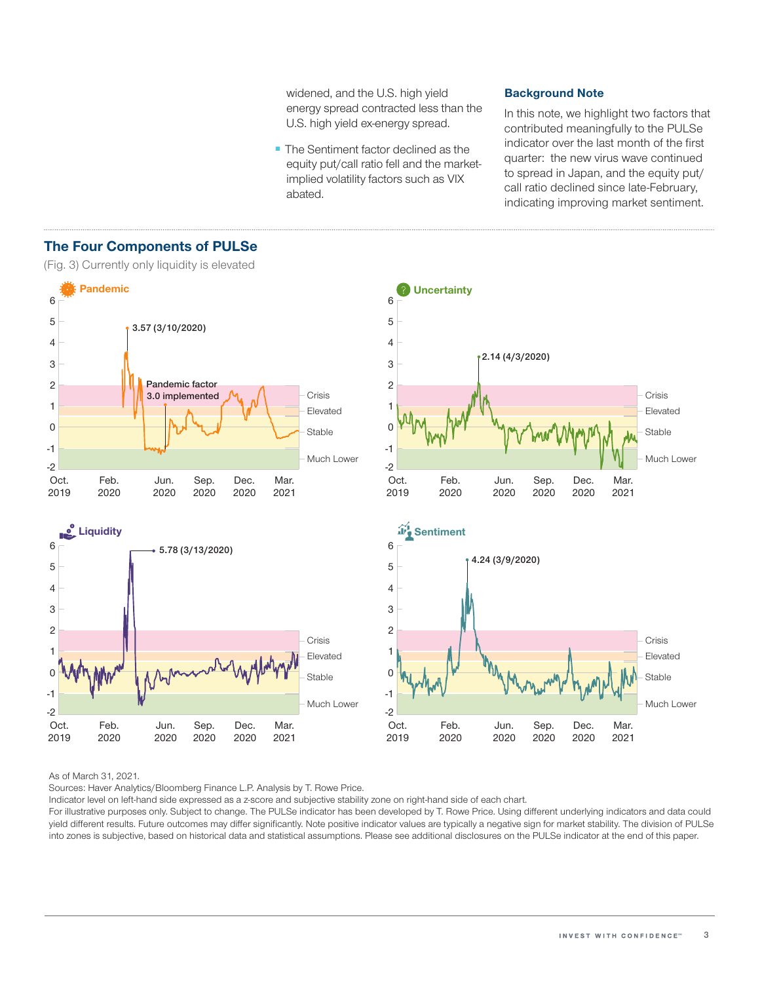widened, and the U.S. high yield energy spread contracted less than the U.S. high yield ex-energy spread.

■ The Sentiment factor declined as the equity put/call ratio fell and the marketimplied volatility factors such as VIX abated.

#### Background Note

In this note, we highlight two factors that contributed meaningfully to the PULSe indicator over the last month of the first quarter: the new virus wave continued to spread in Japan, and the equity put/ call ratio declined since late-February, indicating improving market sentiment.



# The Four Components of PULSe

(Fig. 3) Currently only liquidity is elevated

As of March 31, 2021.

Sources: Haver Analytics/Bloomberg Finance L.P. Analysis by T. Rowe Price.

Indicator level on left-hand side expressed as a z-score and subjective stability zone on right-hand side of each chart.

For illustrative purposes only. Subject to change. The PULSe indicator has been developed by T. Rowe Price. Using different underlying indicators and data could yield different results. Future outcomes may differ significantly. Note positive indicator values are typically a negative sign for market stability. The division of PULSe into zones is subjective, based on historical data and statistical assumptions. Please see additional disclosures on the PULSe indicator at the end of this paper.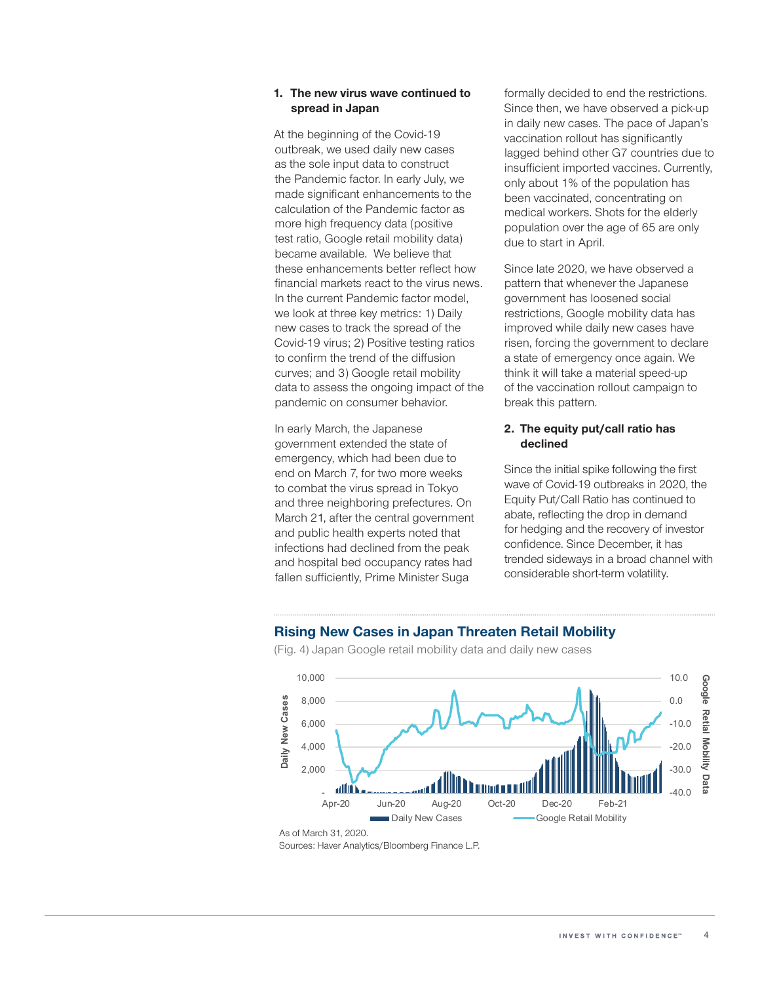#### 1. The new virus wave continued to spread in Japan

At the beginning of the Covid-19 outbreak, we used daily new cases as the sole input data to construct the Pandemic factor. In early July, we made significant enhancements to the calculation of the Pandemic factor as more high frequency data (positive test ratio, Google retail mobility data) became available. We believe that these enhancements better reflect how financial markets react to the virus news. In the current Pandemic factor model, we look at three key metrics: 1) Daily new cases to track the spread of the Covid-19 virus; 2) Positive testing ratios to confirm the trend of the diffusion curves; and 3) Google retail mobility data to assess the ongoing impact of the pandemic on consumer behavior.

In early March, the Japanese government extended the state of emergency, which had been due to end on March 7, for two more weeks to combat the virus spread in Tokyo and three neighboring prefectures. On March 21, after the central government and public health experts noted that infections had declined from the peak and hospital bed occupancy rates had fallen sufficiently, Prime Minister Suga

formally decided to end the restrictions. Since then, we have observed a pick-up in daily new cases. The pace of Japan's vaccination rollout has significantly lagged behind other G7 countries due to insufficient imported vaccines. Currently, only about 1% of the population has been vaccinated, concentrating on medical workers. Shots for the elderly population over the age of 65 are only due to start in April.

Since late 2020, we have observed a pattern that whenever the Japanese government has loosened social restrictions, Google mobility data has improved while daily new cases have risen, forcing the government to declare a state of emergency once again. We think it will take a material speed-up of the vaccination rollout campaign to break this pattern.

#### 2. The equity put/call ratio has declined

Since the initial spike following the first wave of Covid-19 outbreaks in 2020, the Equity Put/Call Ratio has continued to abate, reflecting the drop in demand for hedging and the recovery of investor confidence. Since December, it has trended sideways in a broad channel with considerable short-term volatility.



Rising New Cases in Japan Threaten Retail Mobility

(Fig. 4) Japan Google retail mobility data and daily new cases

Sources: Haver Analytics/Bloomberg Finance L.P.

As of March 31, 2020.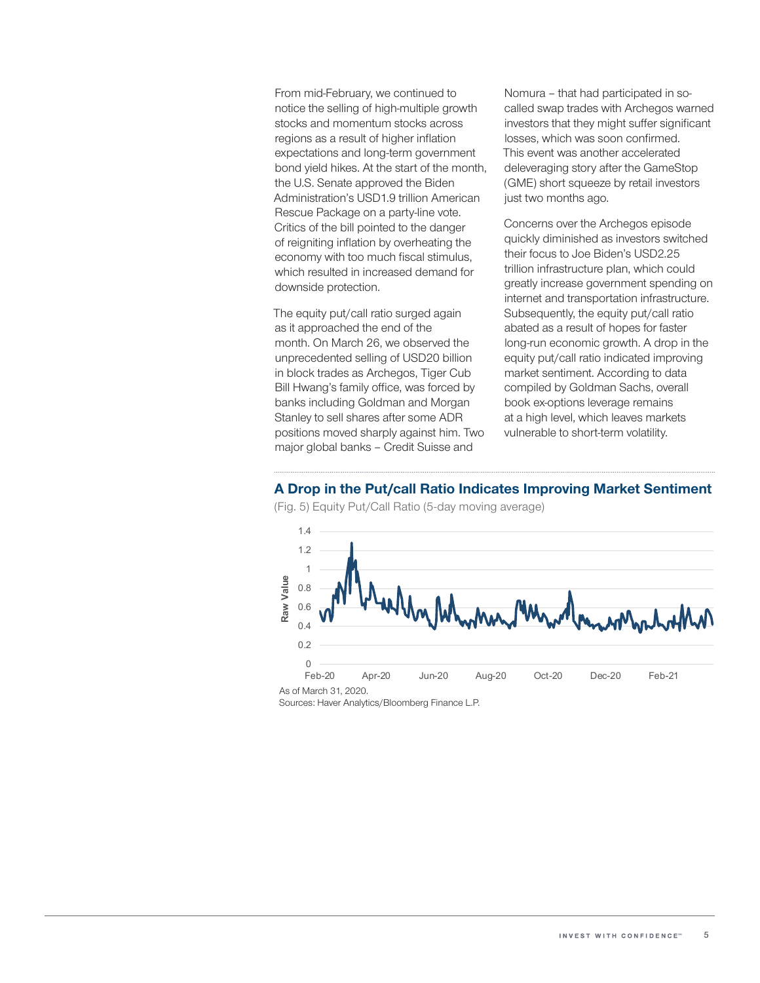From mid-February, we continued to notice the selling of high-multiple growth stocks and momentum stocks across regions as a result of higher inflation expectations and long-term government bond yield hikes. At the start of the month, the U.S. Senate approved the Biden Administration's USD1.9 trillion American Rescue Package on a party-line vote. Critics of the bill pointed to the danger of reigniting inflation by overheating the economy with too much fiscal stimulus, which resulted in increased demand for downside protection.

The equity put/call ratio surged again as it approached the end of the month. On March 26, we observed the unprecedented selling of USD20 billion in block trades as Archegos, Tiger Cub Bill Hwang's family office, was forced by banks including Goldman and Morgan Stanley to sell shares after some ADR positions moved sharply against him. Two major global banks – Credit Suisse and

Nomura – that had participated in socalled swap trades with Archegos warned investors that they might suffer significant losses, which was soon confirmed. This event was another accelerated deleveraging story after the GameStop (GME) short squeeze by retail investors just two months ago.

Concerns over the Archegos episode quickly diminished as investors switched their focus to Joe Biden's USD2.25 trillion infrastructure plan, which could greatly increase government spending on internet and transportation infrastructure. Subsequently, the equity put/call ratio abated as a result of hopes for faster long-run economic growth. A drop in the equity put/call ratio indicated improving market sentiment. According to data compiled by Goldman Sachs, overall book ex-options leverage remains at a high level, which leaves markets vulnerable to short-term volatility.

#### A Drop in the Put/call Ratio Indicates Improving Market Sentiment



(Fig. 5) Equity Put/Call Ratio (5-day moving average)

Sources: Haver Analytics/Bloomberg Finance L.P.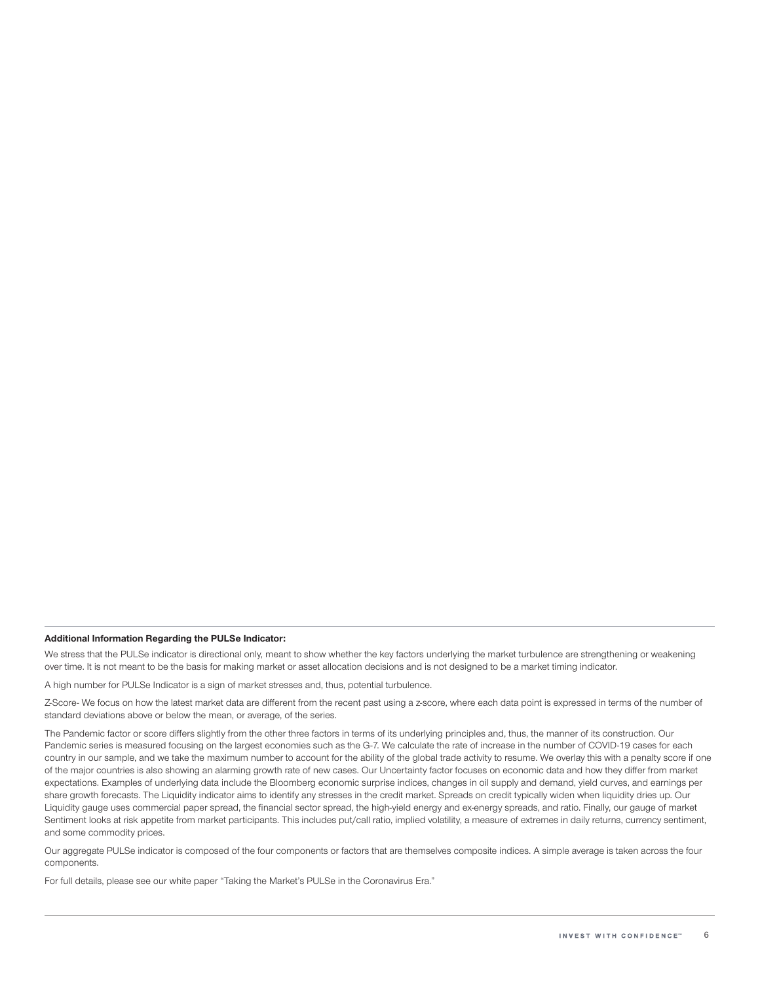#### Additional Information Regarding the PULSe Indicator:

We stress that the PULSe indicator is directional only, meant to show whether the key factors underlying the market turbulence are strengthening or weakening over time. It is not meant to be the basis for making market or asset allocation decisions and is not designed to be a market timing indicator.

A high number for PULSe Indicator is a sign of market stresses and, thus, potential turbulence.

Z-Score- We focus on how the latest market data are different from the recent past using a z-score, where each data point is expressed in terms of the number of standard deviations above or below the mean, or average, of the series.

The Pandemic factor or score differs slightly from the other three factors in terms of its underlying principles and, thus, the manner of its construction. Our Pandemic series is measured focusing on the largest economies such as the G-7. We calculate the rate of increase in the number of COVID-19 cases for each country in our sample, and we take the maximum number to account for the ability of the global trade activity to resume. We overlay this with a penalty score if one of the major countries is also showing an alarming growth rate of new cases. Our Uncertainty factor focuses on economic data and how they differ from market expectations. Examples of underlying data include the Bloomberg economic surprise indices, changes in oil supply and demand, yield curves, and earnings per share growth forecasts. The Liquidity indicator aims to identify any stresses in the credit market. Spreads on credit typically widen when liquidity dries up. Our Liquidity gauge uses commercial paper spread, the financial sector spread, the high-yield energy and ex-energy spreads, and ratio. Finally, our gauge of market Sentiment looks at risk appetite from market participants. This includes put/call ratio, implied volatility, a measure of extremes in daily returns, currency sentiment, and some commodity prices.

Our aggregate PULSe indicator is composed of the four components or factors that are themselves composite indices. A simple average is taken across the four components.

For full details, please see our white paper "Taking the Market's PULSe in the Coronavirus Era."